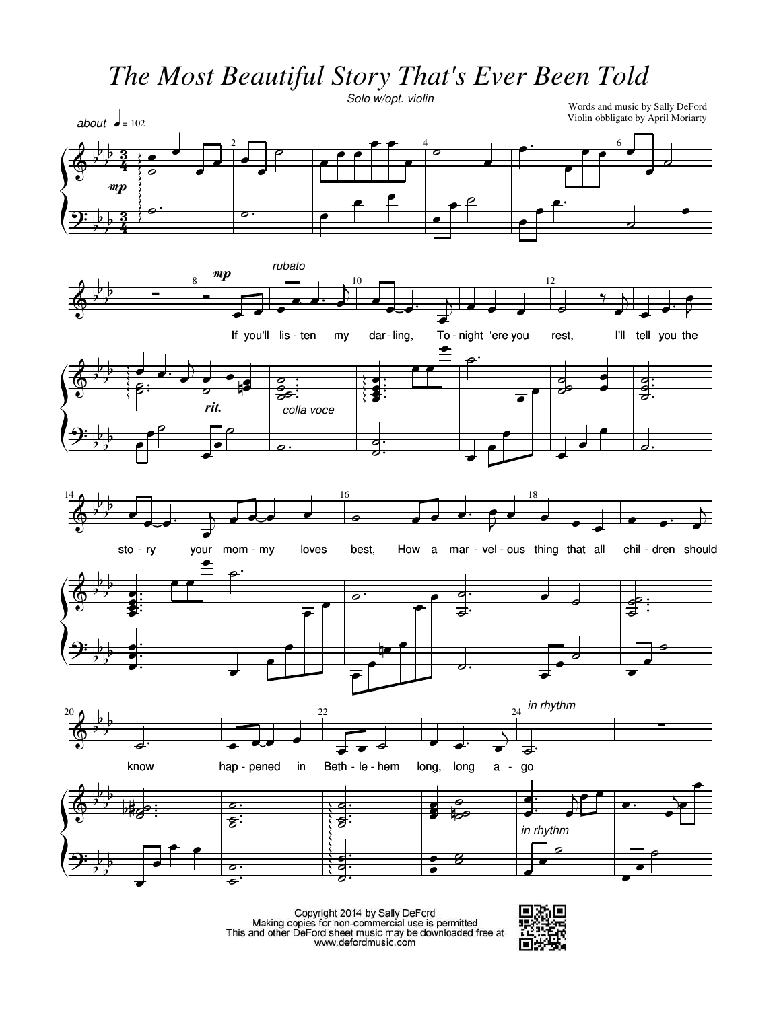*The Most Beautiful Story That's Ever Been Told*

Ģ  $\frac{1}{2}$  $\frac{1}{2}$  $\frac{1}{2}$  $\frac{1}{2}$ -3  $\frac{3}{4}$ 2 4 6  $\big\}$  $\frac{1}{2}$  $\frac{1}{2}$  $\frac{1}{2}$  $\frac{1}{2}$ ş 3<br>4  $\overline{a}$ Ģ - $\frac{1}{2}$ - $\frac{1}{2}$  $8 \t 12$ Ģ  $\frac{1}{2}$  $\frac{1}{2}$  $\frac{1}{b}$  $\frac{1}{2}$  $\big\}$  $\frac{1}{2}$  $\frac{1}{2}$  $\frac{1}{b}$  $\frac{1}{2}$ 14Ģ - $\frac{1}{2}$  $\frac{1}{2}$  $\frac{1}{2}$  $16$  18 Ģ  $\frac{1}{2}$  $\frac{1}{2}$  $\frac{1}{b}$  $\frac{1}{2}$  $\big\}$  $\frac{1}{2}$  $\frac{1}{2}$  $\frac{1}{b}$  $\frac{1}{2}$  $20$ Ģ - $\frac{1}{2}$ - $\frac{1}{2}$ 22 24 Ē Ģ  $\frac{1}{2}$  $\frac{1}{2}$  $\frac{1}{b}$  $\frac{1}{2}$  $\big\}$  $\frac{1}{2}$  $\frac{1}{2}$  $\frac{1}{b}$  $\frac{1}{2}$ Words and music by Sally DeFord Violin obbligato by April Moriarty Solo w/opt. violin  $\bar{\bar{}}$  $\overline{\phantom{a}}$  $\overline{\phantom{a}}$  $\blacksquare$  $\blacksquare$  $\boldsymbol{m}$ about  $\bullet$  = 102  $\blacksquare$  $\blacksquare$ ρ  $\overline{\phantom{a}}$ P  $\overline{\phantom{a}}$ e <u>- 2</u>  $\overline{\phantom{a}}$ ρ J. P  $\overline{\phantom{a}}$ ŕ  $\overline{\phantom{a}}$  $\overline{\phantom{a}}$  $6 \rightarrow$  $\overline{\bullet}$  $\frac{1}{2}$ <u>م</u>  $\overline{\phantom{a}}$ r e e P e  $\overline{\phantom{a}}$ P r  $\cdot$ o L P 1 If you'll lis - ten my  $\overline{\phantom{a}}$  $\blacksquare$  $mp$  $\overline{\phantom{a}}$  $\overline{\phantom{a}}$  $\frac{1}{\sqrt{2}}$  $\overline{a}$  $\blacksquare$  $\overline{a}$ rubato dar - ling,  $\overline{\phantom{a}}$  $\overline{\phantom{a}}$  $\overrightarrow{ }$  $\overline{\phantom{a}}$ To - night 'ere you  $\overline{\phantom{a}}$  $\overline{1}$  $\overline{\phantom{a}}$ J  $\overline{\phantom{a}}$ rest,  $\blacksquare$ 7 I'll  $\overline{\bullet}$  $\overline{ }$ tell you the  $\overline{\phantom{a}}$ J  $\overline{\phantom{a}}$  P  $\frac{1}{\beta}$  $\boldsymbol{\beta}$  $\blacksquare$  $\overline{\phantom{0}}$  $\overline{\phantom{a}}$  $\blacksquare$ <u>r</u> ő  $\blacksquare$  $\blacksquare$ q  $\overline{\bullet}$  $\overline{\bullet}$  $\frac{1}{2}$  $\overline{\phantom{0}}$ ا : . g  $\blacksquare$ Ī  $\ddotsc$ Î F: Ë  $\overline{\phantom{a}}$  $\mathbf{e}^{\cdot}$  $\overline{\mathsf{S}}$  $\frac{d}{d\sigma}$  $\overline{\bullet}$  $\ddot{\bullet}$  $\frac{1}{2}$  $\frac{1}{9}$  $\overline{\phantom{a}}$ É P  $\overline{\phantom{a}}$ U P rit.  $\overline{d}$ colla voce  $\frac{1}{2}$  $\frac{a}{b}$  $\overline{\phantom{a}}$  $\overline{ }$ É  $\overline{\phantom{0}}$  $\overline{\phantom{0}}$  $\blacksquare$  $\blacksquare$ e  $\overline{\phantom{a}}$ sto -  $ry$  \_\_  $\blacksquare$  $\overline{\phantom{a}}$  $\overline{\cdot}$  $\overline{\phantom{a}}$ your mom - my  $\overline{\phantom{a}}$  $\overline{1}$  $\overline{\phantom{a}}$  $\overline{\phantom{a}}$  loves I Q.L best,  $\overline{\phantom{a}}$ - ry\_\_ your mom - my loves best, How a mar - vel - ous thing that all chil - $\overline{\phantom{a}}$  $\overline{\phantom{a}}$  $\blacksquare$  $\overline{a}$  $\overline{\bullet}$  $\overline{a}$ I Q.L  $\blacksquare$  $\overline{\phantom{a}}$  $\overline{\phantom{a}}$ chil - dren should  $\overline{\phantom{a}}$  $\overline{\phantom{a}}$  $\overline{\phantom{a}}$  $\overline{\phantom{a}}$  $\overline{a}$  $\overline{\phantom{a}}$ - 1. ś - 1 Ī . . . . Î ٠Ŀ. ŕ  $\overline{\phantom{a}}$  $\tilde{\mathbf{z}}$  ォ  $\blacksquare$  $\overrightarrow{s}$  $\ddot{\phantom{0}}$ Í  $\overline{\phantom{a}}$  $\blacksquare$  $\bullet$ . .  $\bullet$ .L  $\overline{\phantom{a}}$ , P  $\overline{\phantom{0}}$  $\overline{P}$ ħ  $\overline{\phantom{0}}$  $\overline{\phantom{0}}$  $\overline{\phantom{a}}$ e  $\overline{\phantom{0}}$  $\overline{\phantom{0}}$  $\overline{\phantom{a}}$  $\overline{\phantom{a}}$  $\overline{\phantom{a}}$  $\overline{a}$  $\overline{\phantom{a}}$ O.L P know 6 hap - pened  $\blacksquare$  $\overline{\phantom{a}}$  $\overrightarrow{\cdot}$ in  $\overline{\phantom{a}}$ Beth - le  $\blacksquare$  $\overline{\cdot}$ - pened in Beth-le-hem long, long a - $\overline{\phantom{a}}$ long,  $\blacksquare$ long  $\blacksquare$ F. a  $\overline{\phantom{a}}$  $\overline{1}$ go ま  $_{24}$  in rhythm  $\frac{1}{2}$   $\frac{1}{2}$ e.<br>S  $\frac{1}{2}$  $\frac{a}{2}$  $\overline{\phantom{a}}$  $\frac{2}{3}$  $\overline{\mathbf{z}}$ : 2 aa<br>S Ĵ ≡  $\blacksquare$  $\frac{1}{2}$  $\overline{\phantom{a}}$  $\overline{\phantom{a}}$ J  $\cdot$   $\cdot$  $\overline{r}$  $\overline{ }$  $\overline{\phantom{a}}$ F.  $\blacksquare$  $\overline{K}$  $\overline{\phantom{a}}$ P  $\overline{\phantom{a}}$  $\blacksquare$ P  $\overline{\phantom{a}}$  $\frac{1}{2}$  $\frac{4}{5}$  $\frac{1}{2}$ d.  $\frac{a}{b}$ Ę É ß  $\overline{\phantom{a}}$  $\overline{\phantom{a}}$ P in rhythm  $\blacksquare$  $\overline{\phantom{a}}$ p you'll lis ten my dar ling, To night 'ere you rest, I'll you sto ry your mom my loves best, a mar vel ous thing that all chil dren know hap pened in le hem long, long a - - -

Copyright 2014 by Sally DeFord<br>Making copies for non-commercial use is permitted<br>This and other DeFord sheet music may be downloaded free at<br>www.defordmusic.com

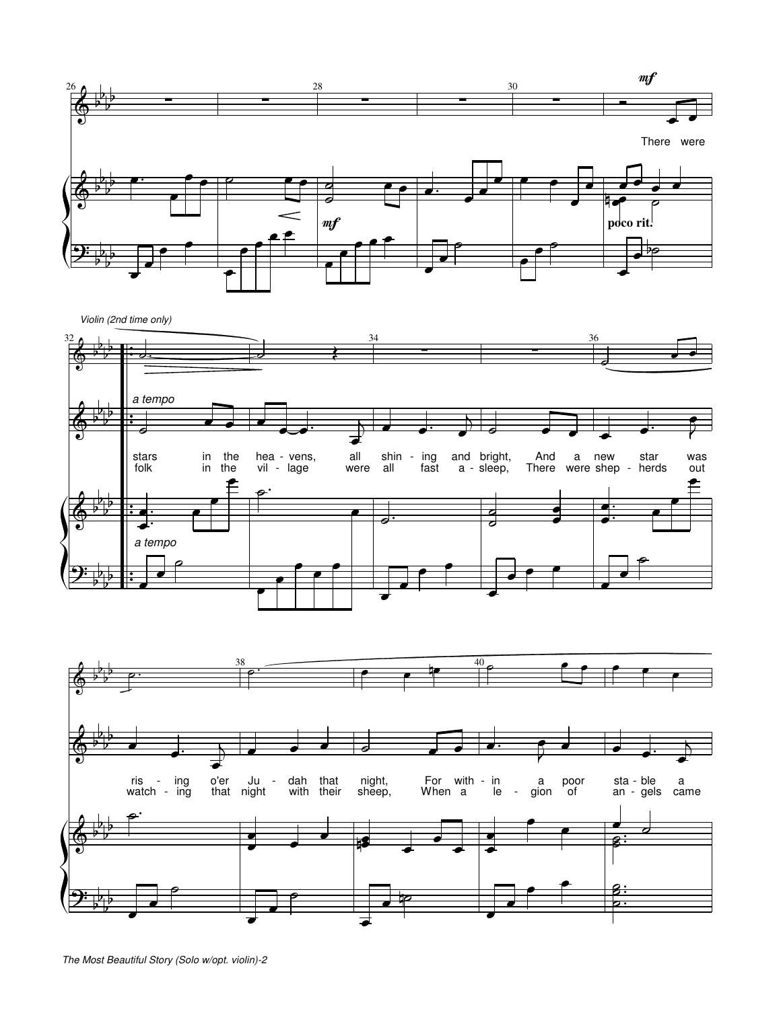

Violin (2nd time only)





The Most Beautiful Story (Solo w/opt. violin)-2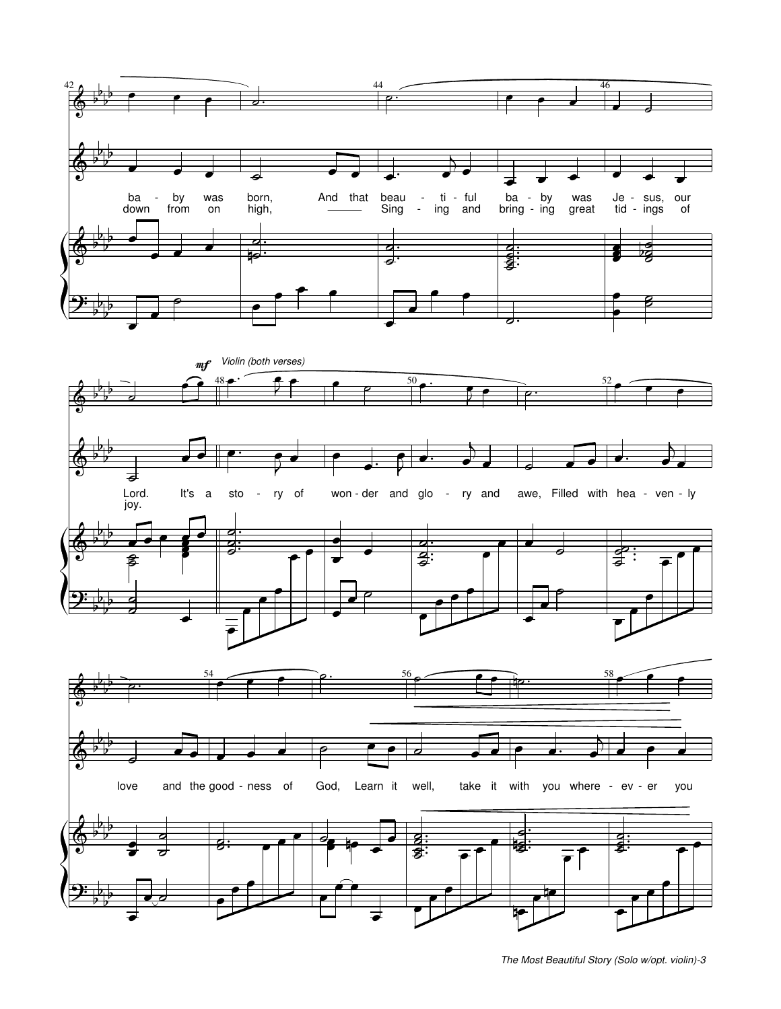

The Most Beautiful Story (Solo w/opt. violin)-3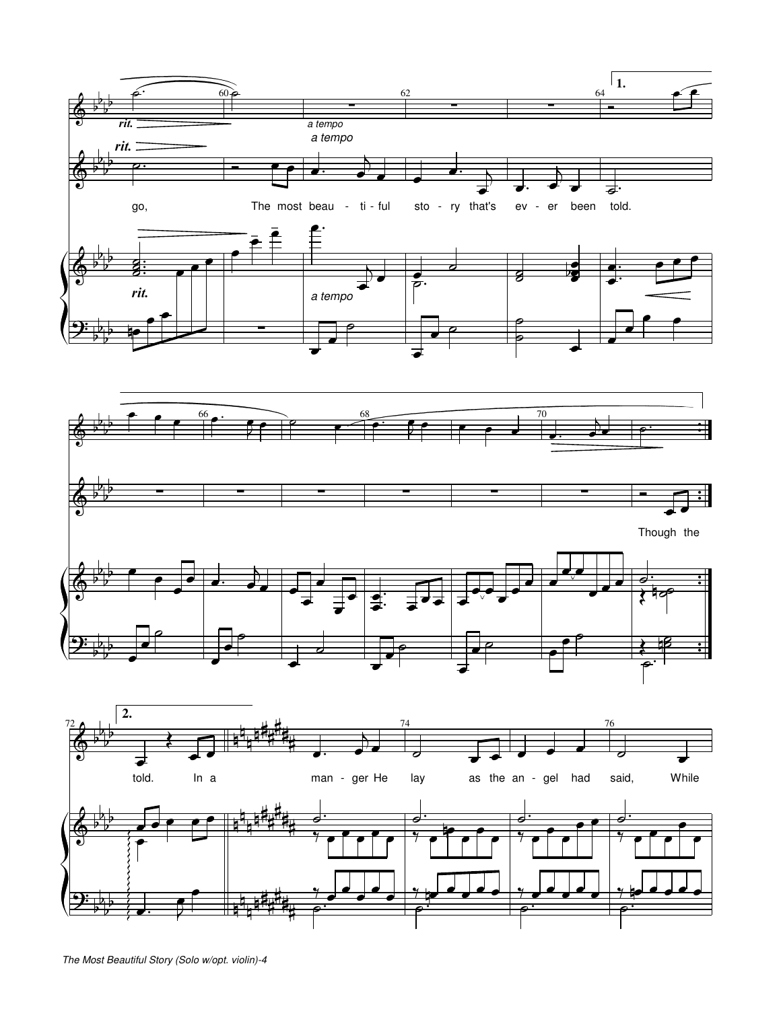



The Most Beautiful Story (Solo w/opt. violin)-4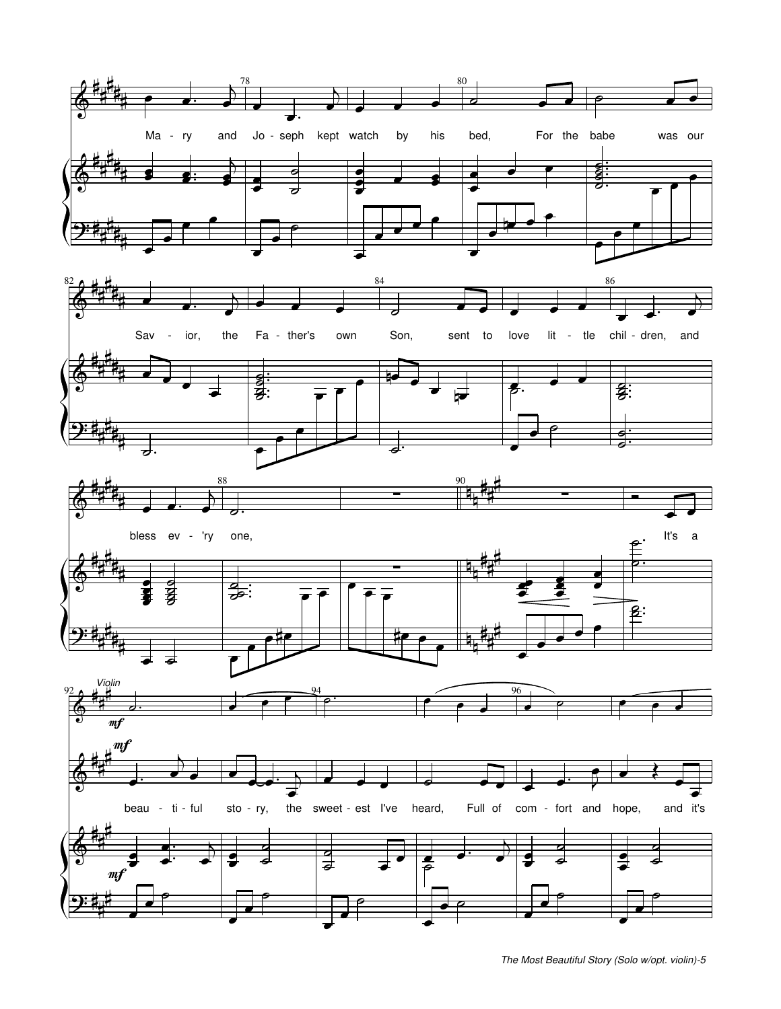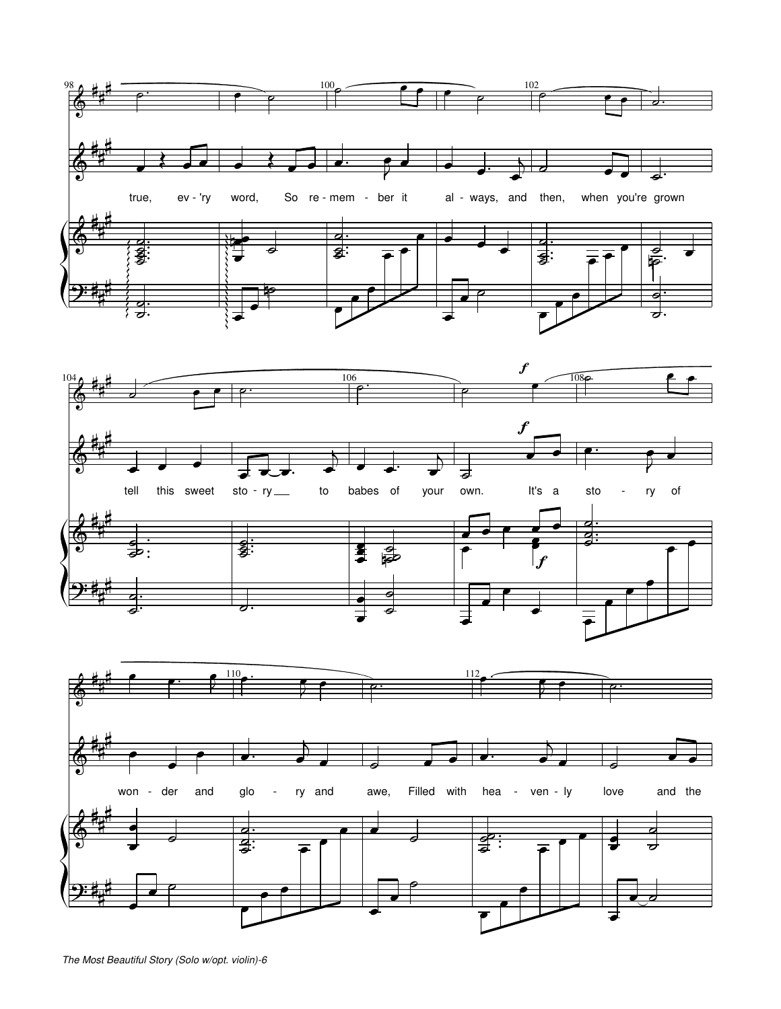